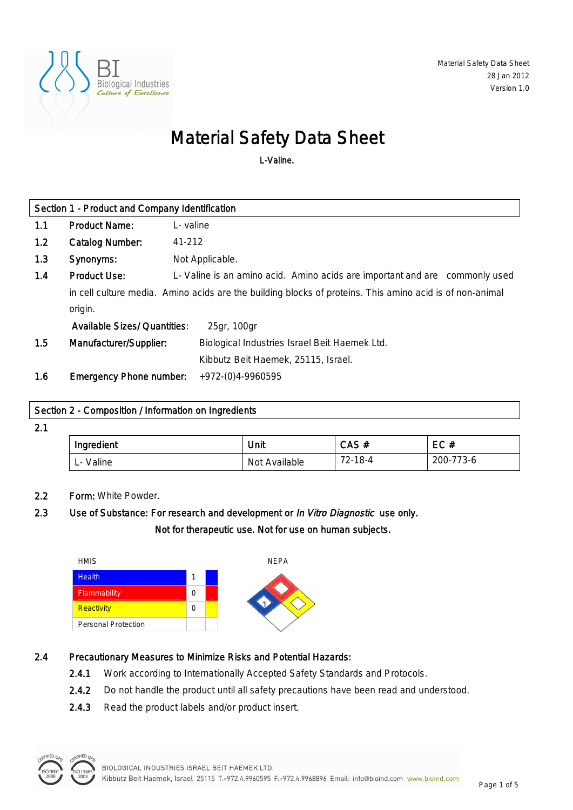

# Material Safety Data Sheet

L-Valine.

| Section 1 - Product and Company Identification |                                                                                                          |                                                                             |  |
|------------------------------------------------|----------------------------------------------------------------------------------------------------------|-----------------------------------------------------------------------------|--|
| 1.1                                            | <b>Product Name:</b>                                                                                     | L-valine                                                                    |  |
| 1.2                                            | <b>Catalog Number:</b>                                                                                   | 41-212                                                                      |  |
| 1.3                                            | Synonyms:                                                                                                | Not Applicable.                                                             |  |
| 1.4                                            | <b>Product Use:</b>                                                                                      | L- Valine is an amino acid. Amino acids are important and are commonly used |  |
|                                                | in cell culture media. Amino acids are the building blocks of proteins. This amino acid is of non-animal |                                                                             |  |
|                                                | origin.                                                                                                  |                                                                             |  |
|                                                | <b>Available Sizes/ Quantities:</b>                                                                      | 25gr, 100gr                                                                 |  |
| 1.5                                            | Manufacturer/Supplier:                                                                                   | Biological Industries Israel Beit Haemek Ltd.                               |  |
|                                                |                                                                                                          | Kibbutz Beit Haemek, 25115, Israel.                                         |  |
| 1.6                                            | <b>Emergency Phone number:</b>                                                                           | +972-(0)4-9960595                                                           |  |

### Section 2 - Composition / Information on Ingredients

2.1

| Ingredient                                     | Unit             | CAS#    | EC#       |
|------------------------------------------------|------------------|---------|-----------|
| Valine<br>$\overline{\phantom{0}}$<br><u>.</u> | Not<br>Available | 72-18-4 | 200-773-6 |

## 2.2 Form: White Powder.

# 2.3 Use of Substance: For research and development or *In Vitro Diagnostic* use only. Not for therapeutic use. Not for use on human subjects.



## 2.4 Precautionary Measures to Minimize Risks and Potential Hazards:

- 2.4.1 Work according to Internationally Accepted Safety Standards and Protocols.
- 2.4.2 Do not handle the product until all safety precautions have been read and understood.
- 2.4.3 Read the product labels and/or product insert.

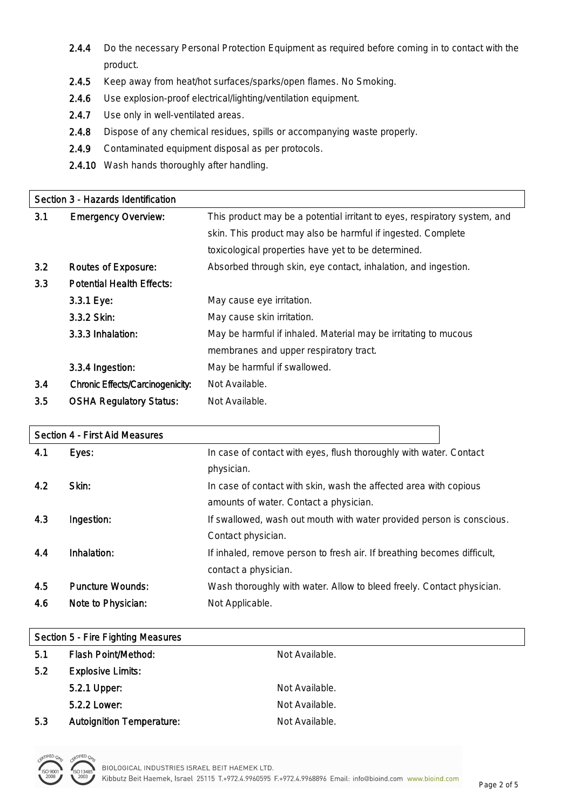- 2.4.4 Do the necessary Personal Protection Equipment as required before coming in to contact with the product.
- 2.4.5 Keep away from heat/hot surfaces/sparks/open flames. No Smoking.
- 2.4.6 Use explosion-proof electrical/lighting/ventilation equipment.
- 2.4.7 Use only in well-ventilated areas.
- 2.4.8 Dispose of any chemical residues, spills or accompanying waste properly.
- 2.4.9 Contaminated equipment disposal as per protocols.
- 2.4.10 Wash hands thoroughly after handling.

|     | Section 3 - Hazards Identification      |                                                                           |  |
|-----|-----------------------------------------|---------------------------------------------------------------------------|--|
| 3.1 | <b>Emergency Overview:</b>              | This product may be a potential irritant to eyes, respiratory system, and |  |
|     |                                         | skin. This product may also be harmful if ingested. Complete              |  |
|     |                                         | toxicological properties have yet to be determined.                       |  |
| 3.2 | <b>Routes of Exposure:</b>              | Absorbed through skin, eye contact, inhalation, and ingestion.            |  |
| 3.3 | <b>Potential Health Effects:</b>        |                                                                           |  |
|     | 3.3.1 Eye:                              | May cause eye irritation.                                                 |  |
|     | 3.3.2 Skin:                             | May cause skin irritation.                                                |  |
|     | 3.3.3 Inhalation:                       | May be harmful if inhaled. Material may be irritating to mucous           |  |
|     |                                         | membranes and upper respiratory tract.                                    |  |
|     | 3.3.4 Ingestion:                        | May be harmful if swallowed.                                              |  |
| 3.4 | <b>Chronic Effects/Carcinogenicity:</b> | Not Available.                                                            |  |
| 3.5 | <b>OSHA Regulatory Status:</b>          | Not Available.                                                            |  |

#### Section 4 - First Aid Measures

| 4.1 | Eyes:                   | In case of contact with eyes, flush thoroughly with water. Contact      |
|-----|-------------------------|-------------------------------------------------------------------------|
|     |                         | physician.                                                              |
| 4.2 | Skin:                   | In case of contact with skin, wash the affected area with copious       |
|     |                         | amounts of water. Contact a physician.                                  |
| 4.3 | Ingestion:              | If swallowed, wash out mouth with water provided person is conscious.   |
|     |                         | Contact physician.                                                      |
| 4.4 | Inhalation:             | If inhaled, remove person to fresh air. If breathing becomes difficult, |
|     |                         | contact a physician.                                                    |
| 4.5 | <b>Puncture Wounds:</b> | Wash thoroughly with water. Allow to bleed freely. Contact physician.   |
| 4.6 | Note to Physician:      | Not Applicable.                                                         |

| Section 5 - Fire Fighting Measures |                                  |                |
|------------------------------------|----------------------------------|----------------|
| 5.1                                | <b>Flash Point/Method:</b>       | Not Available. |
| 5.2                                | <b>Explosive Limits:</b>         |                |
|                                    | 5.2.1 Upper:                     | Not Available. |
|                                    | 5.2.2 Lower:                     | Not Available. |
| 5.3                                | <b>Autoignition Temperature:</b> | Not Available. |

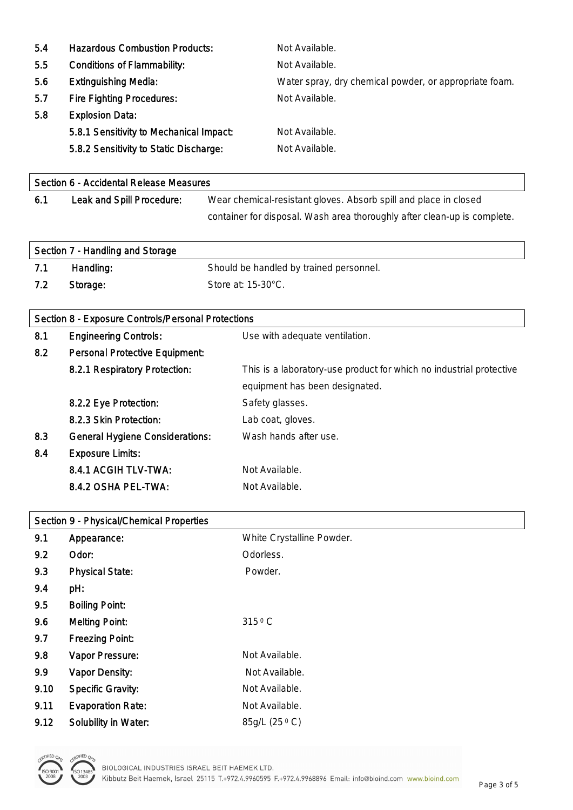| 5.4 | <b>Hazardous Combustion Products:</b>   | Not Available.                                         |
|-----|-----------------------------------------|--------------------------------------------------------|
| 5.5 | <b>Conditions of Flammability:</b>      | Not Available.                                         |
| 5.6 | <b>Extinguishing Media:</b>             | Water spray, dry chemical powder, or appropriate foam. |
| 5.7 | <b>Fire Fighting Procedures:</b>        | Not Available.                                         |
| 5.8 | <b>Explosion Data:</b>                  |                                                        |
|     | 5.8.1 Sensitivity to Mechanical Impact: | Not Available.                                         |
|     | 5.8.2 Sensitivity to Static Discharge:  | Not Available.                                         |

| Section 6 - Accidental Release Measures |                           |                                                                          |
|-----------------------------------------|---------------------------|--------------------------------------------------------------------------|
| 6.1                                     | Leak and Spill Procedure: | Wear chemical-resistant gloves. Absorb spill and place in closed         |
|                                         |                           | container for disposal. Wash area thoroughly after clean-up is complete. |

| Section 7 - Handling and Storage |           |                                         |
|----------------------------------|-----------|-----------------------------------------|
| 7.1                              | Handling: | Should be handled by trained personnel. |
| 7.2                              | Storage:  | Store at: $15-30^{\circ}$ C.            |

# Section 8 - Exposure Controls/Personal Protections

| 8.1 | <b>Engineering Controls:</b>           | Use with adequate ventilation.                                      |
|-----|----------------------------------------|---------------------------------------------------------------------|
| 8.2 | <b>Personal Protective Equipment:</b>  |                                                                     |
|     | 8.2.1 Respiratory Protection:          | This is a laboratory-use product for which no industrial protective |
|     |                                        | equipment has been designated.                                      |
|     | 8.2.2 Eye Protection:                  | Safety glasses.                                                     |
|     | 8.2.3 Skin Protection:                 | Lab coat, gloves.                                                   |
| 8.3 | <b>General Hygiene Considerations:</b> | Wash hands after use.                                               |
| 8.4 | <b>Exposure Limits:</b>                |                                                                     |
|     | 8.4.1 ACGIH TLV-TWA:                   | Not Available.                                                      |
|     | 8.4.2 OSHA PEL-TWA:                    | Not Available.                                                      |

| Section 9 - Physical/Chemical Properties |                             |                           |
|------------------------------------------|-----------------------------|---------------------------|
| 9.1                                      | Appearance:                 | White Crystalline Powder. |
| 9.2                                      | Odor:                       | Odorless.                 |
| 9.3                                      | <b>Physical State:</b>      | Powder.                   |
| 9.4                                      | pH:                         |                           |
| 9.5                                      | <b>Boiling Point:</b>       |                           |
| 9.6                                      | <b>Melting Point:</b>       | 315 °C                    |
| 9.7                                      | <b>Freezing Point:</b>      |                           |
| 9.8                                      | Vapor Pressure:             | Not Available.            |
| 9.9                                      | <b>Vapor Density:</b>       | Not Available.            |
| 9.10                                     | <b>Specific Gravity:</b>    | Not Available.            |
| 9.11                                     | <b>Evaporation Rate:</b>    | Not Available.            |
| 9.12                                     | <b>Solubility in Water:</b> | 85g/L (25 °C)             |

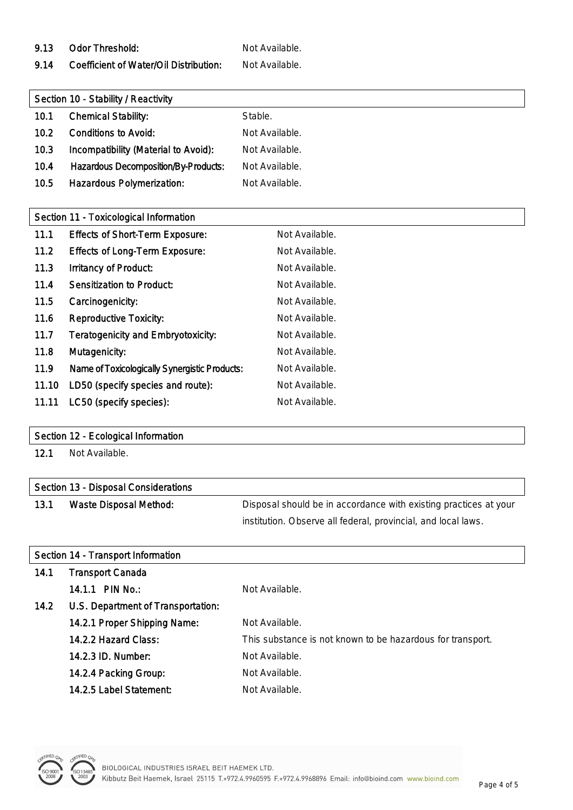9.13 Odor Threshold: Not Available.

9.14 Coefficient of Water/Oil Distribution: Not Available.

| Section 10 - Stability / Reactivity |                                             |                |
|-------------------------------------|---------------------------------------------|----------------|
| 10.1                                | <b>Chemical Stability:</b>                  | Stable.        |
| 10.2                                | <b>Conditions to Avoid:</b>                 | Not Available. |
| 10.3                                | Incompatibility (Material to Avoid):        | Not Available. |
| 10.4                                | <b>Hazardous Decomposition/By-Products:</b> | Not Available. |
| 10.5                                | <b>Hazardous Polymerization:</b>            | Not Available. |

| Section 11 - Toxicological Information        |                |  |
|-----------------------------------------------|----------------|--|
| <b>Effects of Short-Term Exposure:</b>        | Not Available. |  |
| <b>Effects of Long-Term Exposure:</b>         | Not Available. |  |
| <b>Irritancy of Product:</b>                  | Not Available. |  |
| <b>Sensitization to Product:</b>              | Not Available. |  |
| Carcinogenicity:                              | Not Available. |  |
| <b>Reproductive Toxicity:</b>                 | Not Available. |  |
| <b>Teratogenicity and Embryotoxicity:</b>     | Not Available. |  |
| Mutagenicity:                                 | Not Available. |  |
| Name of Toxicologically Synergistic Products: | Not Available. |  |
| LD50 (specify species and route):             | Not Available. |  |
| LC50 (specify species):                       | Not Available. |  |
|                                               |                |  |

#### Section 12 - Ecological Information

12.1 Not Available.

| Section 13 - Disposal Considerations |                        |                                                                  |  |  |
|--------------------------------------|------------------------|------------------------------------------------------------------|--|--|
| 13.1                                 | Waste Disposal Method: | Disposal should be in accordance with existing practices at your |  |  |
|                                      |                        | institution. Observe all federal, provincial, and local laws.    |  |  |

# Section 14 - Transport Information

| 14.1 | <b>Transport Canada</b>            |                                                            |
|------|------------------------------------|------------------------------------------------------------|
|      | 14.1.1 PIN No.:                    | Not Available.                                             |
| 14.2 | U.S. Department of Transportation: |                                                            |
|      | 14.2.1 Proper Shipping Name:       | Not Available.                                             |
|      | 14.2.2 Hazard Class:               | This substance is not known to be hazardous for transport. |
|      | 14.2.3 ID. Number:                 | Not Available.                                             |
|      | 14.2.4 Packing Group:              | Not Available.                                             |
|      | 14.2.5 Label Statement:            | Not Available.                                             |